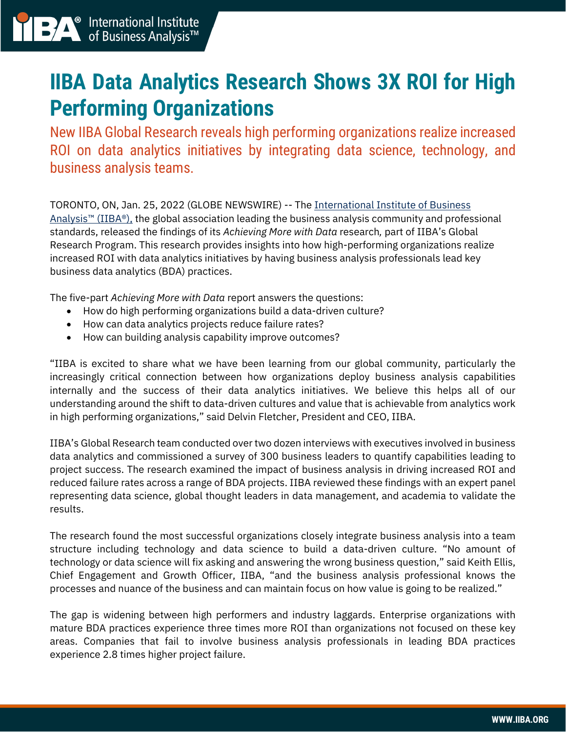## **IIBA Data Analytics Research Shows 3X ROI for High Performing Organizations**

New IIBA Global Research reveals high performing organizations realize increased ROI on data analytics initiatives by integrating data science, technology, and business analysis teams.

TORONTO, ON, Jan. 25, 2022 (GLOBE NEWSWIRE) -- The [International Institute of Business](https://www.iiba.org/career-resources/a-business-analysis-professionals-foundation-for-success/babok/)  Analysis<sup>™</sup> (IIBA®), the global association leading the business analysis community and professional standards, released the findings of its *Achieving More with Data* research*,* part of IIBA's Global Research Program. This research provides insights into how high-performing organizations realize increased ROI with data analytics initiatives by having business analysis professionals lead key business data analytics (BDA) practices.

The five-part *Achieving More with Data* report answers the questions:

- How do high performing organizations build a data-driven culture?
- How can data analytics projects reduce failure rates?
- How can building analysis capability improve outcomes?

"IIBA is excited to share what we have been learning from our global community, particularly the increasingly critical connection between how organizations deploy business analysis capabilities internally and the success of their data analytics initiatives. We believe this helps all of our understanding around the shift to data-driven cultures and value that is achievable from analytics work in high performing organizations," said Delvin Fletcher, President and CEO, IIBA.

IIBA's Global Research team conducted over two dozen interviews with executives involved in business data analytics and commissioned a survey of 300 business leaders to quantify capabilities leading to project success. The research examined the impact of business analysis in driving increased ROI and reduced failure rates across a range of BDA projects. IIBA reviewed these findings with an expert panel representing data science, global thought leaders in data management, and academia to validate the results.

The research found the most successful organizations closely integrate business analysis into a team structure including technology and data science to build a data-driven culture. "No amount of technology or data science will fix asking and answering the wrong business question," said Keith Ellis, Chief Engagement and Growth Officer, IIBA, "and the business analysis professional knows the processes and nuance of the business and can maintain focus on how value is going to be realized."

The gap is widening between high performers and industry laggards. Enterprise organizations with mature BDA practices experience three times more ROI than organizations not focused on these key areas. Companies that fail to involve business analysis professionals in leading BDA practices experience 2.8 times higher project failure.